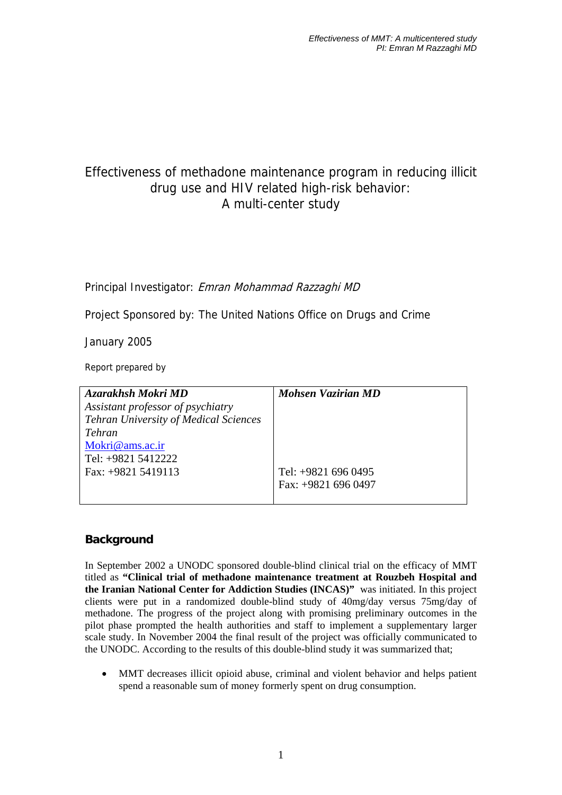# Effectiveness of methadone maintenance program in reducing illicit drug use and HIV related high-risk behavior: A multi-center study

Principal Investigator: Emran Mohammad Razzaghi MD

Project Sponsored by: The United Nations Office on Drugs and Crime

January 2005

Report prepared by

| Azarakhsh Mokri MD                           | <b>Mohsen Vazirian MD</b> |
|----------------------------------------------|---------------------------|
| Assistant professor of psychiatry            |                           |
| <b>Tehran University of Medical Sciences</b> |                           |
| Tehran                                       |                           |
| Mokri@ams.ac.ir                              |                           |
| Tel: +9821 5412222                           |                           |
| Fax: $+9821$ 5419113                         | Tel: $+9821$ 696 0495     |
|                                              | Fax: $+9821$ 696 0497     |
|                                              |                           |

# **Background**

In September 2002 a UNODC sponsored double-blind clinical trial on the efficacy of MMT titled as **"Clinical trial of methadone maintenance treatment at Rouzbeh Hospital and the Iranian National Center for Addiction Studies (INCAS)"** was initiated. In this project clients were put in a randomized double-blind study of 40mg/day versus 75mg/day of methadone. The progress of the project along with promising preliminary outcomes in the pilot phase prompted the health authorities and staff to implement a supplementary larger scale study. In November 2004 the final result of the project was officially communicated to the UNODC. According to the results of this double-blind study it was summarized that;

MMT decreases illicit opioid abuse, criminal and violent behavior and helps patient spend a reasonable sum of money formerly spent on drug consumption.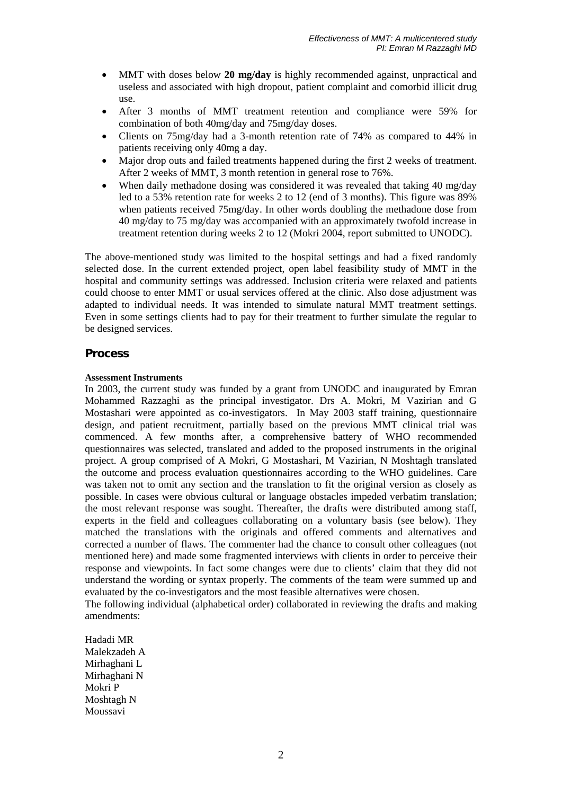- MMT with doses below **20 mg/day** is highly recommended against, unpractical and useless and associated with high dropout, patient complaint and comorbid illicit drug use.
- After 3 months of MMT treatment retention and compliance were 59% for combination of both 40mg/day and 75mg/day doses.
- Clients on 75mg/day had a 3-month retention rate of 74% as compared to 44% in patients receiving only 40mg a day.
- Major drop outs and failed treatments happened during the first 2 weeks of treatment. After 2 weeks of MMT, 3 month retention in general rose to 76%.
- When daily methadone dosing was considered it was revealed that taking  $40 \text{ mg/day}$ led to a 53% retention rate for weeks 2 to 12 (end of 3 months). This figure was 89% when patients received 75mg/day. In other words doubling the methadone dose from 40 mg/day to 75 mg/day was accompanied with an approximately twofold increase in treatment retention during weeks 2 to 12 (Mokri 2004, report submitted to UNODC).

The above-mentioned study was limited to the hospital settings and had a fixed randomly selected dose. In the current extended project, open label feasibility study of MMT in the hospital and community settings was addressed. Inclusion criteria were relaxed and patients could choose to enter MMT or usual services offered at the clinic. Also dose adjustment was adapted to individual needs. It was intended to simulate natural MMT treatment settings. Even in some settings clients had to pay for their treatment to further simulate the regular to be designed services.

# **Process**

# **Assessment Instruments**

In 2003, the current study was funded by a grant from UNODC and inaugurated by Emran Mohammed Razzaghi as the principal investigator. Drs A. Mokri, M Vazirian and G Mostashari were appointed as co-investigators. In May 2003 staff training, questionnaire design, and patient recruitment, partially based on the previous MMT clinical trial was commenced. A few months after, a comprehensive battery of WHO recommended questionnaires was selected, translated and added to the proposed instruments in the original project. A group comprised of A Mokri, G Mostashari, M Vazirian, N Moshtagh translated the outcome and process evaluation questionnaires according to the WHO guidelines. Care was taken not to omit any section and the translation to fit the original version as closely as possible. In cases were obvious cultural or language obstacles impeded verbatim translation; the most relevant response was sought. Thereafter, the drafts were distributed among staff, experts in the field and colleagues collaborating on a voluntary basis (see below). They matched the translations with the originals and offered comments and alternatives and corrected a number of flaws. The commenter had the chance to consult other colleagues (not mentioned here) and made some fragmented interviews with clients in order to perceive their response and viewpoints. In fact some changes were due to clients' claim that they did not understand the wording or syntax properly. The comments of the team were summed up and evaluated by the co-investigators and the most feasible alternatives were chosen.

The following individual (alphabetical order) collaborated in reviewing the drafts and making amendments:

Hadadi MR Malekzadeh A Mirhaghani L Mirhaghani N Mokri P Moshtagh N Moussavi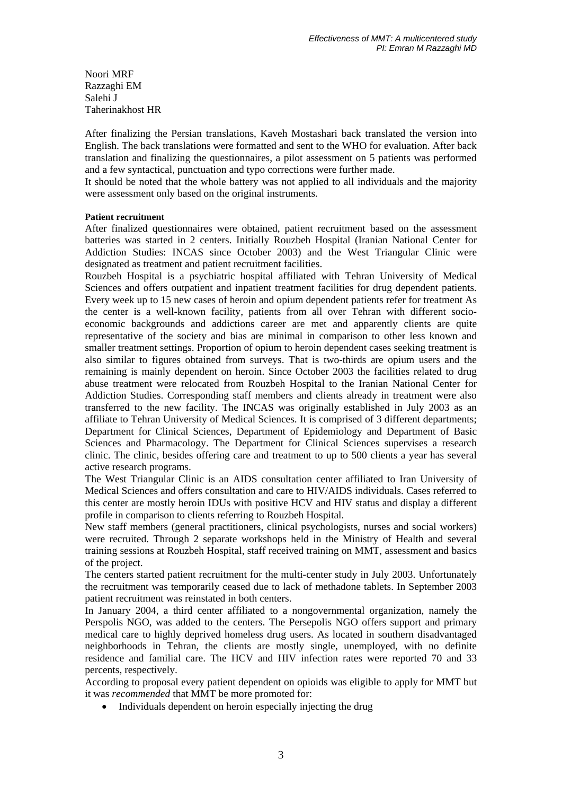Noori MRF Razzaghi EM Salehi J Taherinakhost HR

After finalizing the Persian translations, Kaveh Mostashari back translated the version into English. The back translations were formatted and sent to the WHO for evaluation. After back translation and finalizing the questionnaires, a pilot assessment on 5 patients was performed and a few syntactical, punctuation and typo corrections were further made.

It should be noted that the whole battery was not applied to all individuals and the majority were assessment only based on the original instruments.

# **Patient recruitment**

After finalized questionnaires were obtained, patient recruitment based on the assessment batteries was started in 2 centers. Initially Rouzbeh Hospital (Iranian National Center for Addiction Studies: INCAS since October 2003) and the West Triangular Clinic were designated as treatment and patient recruitment facilities.

Rouzbeh Hospital is a psychiatric hospital affiliated with Tehran University of Medical Sciences and offers outpatient and inpatient treatment facilities for drug dependent patients. Every week up to 15 new cases of heroin and opium dependent patients refer for treatment As the center is a well-known facility, patients from all over Tehran with different socioeconomic backgrounds and addictions career are met and apparently clients are quite representative of the society and bias are minimal in comparison to other less known and smaller treatment settings. Proportion of opium to heroin dependent cases seeking treatment is also similar to figures obtained from surveys. That is two-thirds are opium users and the remaining is mainly dependent on heroin. Since October 2003 the facilities related to drug abuse treatment were relocated from Rouzbeh Hospital to the Iranian National Center for Addiction Studies. Corresponding staff members and clients already in treatment were also transferred to the new facility. The INCAS was originally established in July 2003 as an affiliate to Tehran University of Medical Sciences. It is comprised of 3 different departments; Department for Clinical Sciences, Department of Epidemiology and Department of Basic Sciences and Pharmacology. The Department for Clinical Sciences supervises a research clinic. The clinic, besides offering care and treatment to up to 500 clients a year has several active research programs.

The West Triangular Clinic is an AIDS consultation center affiliated to Iran University of Medical Sciences and offers consultation and care to HIV/AIDS individuals. Cases referred to this center are mostly heroin IDUs with positive HCV and HIV status and display a different profile in comparison to clients referring to Rouzbeh Hospital.

New staff members (general practitioners, clinical psychologists, nurses and social workers) were recruited. Through 2 separate workshops held in the Ministry of Health and several training sessions at Rouzbeh Hospital, staff received training on MMT, assessment and basics of the project.

The centers started patient recruitment for the multi-center study in July 2003. Unfortunately the recruitment was temporarily ceased due to lack of methadone tablets. In September 2003 patient recruitment was reinstated in both centers.

In January 2004, a third center affiliated to a nongovernmental organization, namely the Perspolis NGO, was added to the centers. The Persepolis NGO offers support and primary medical care to highly deprived homeless drug users. As located in southern disadvantaged neighborhoods in Tehran, the clients are mostly single, unemployed, with no definite residence and familial care. The HCV and HIV infection rates were reported 70 and 33 percents, respectively.

According to proposal every patient dependent on opioids was eligible to apply for MMT but it was *recommended* that MMT be more promoted for:

• Individuals dependent on heroin especially injecting the drug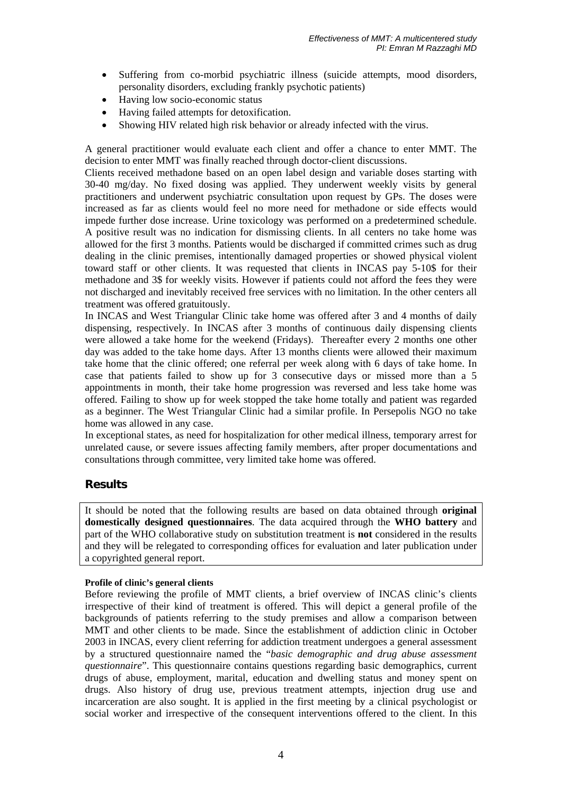- Suffering from co-morbid psychiatric illness (suicide attempts, mood disorders, personality disorders, excluding frankly psychotic patients)
- Having low socio-economic status
- Having failed attempts for detoxification.
- Showing HIV related high risk behavior or already infected with the virus.

A general practitioner would evaluate each client and offer a chance to enter MMT. The decision to enter MMT was finally reached through doctor-client discussions.

Clients received methadone based on an open label design and variable doses starting with 30-40 mg/day. No fixed dosing was applied. They underwent weekly visits by general practitioners and underwent psychiatric consultation upon request by GPs. The doses were increased as far as clients would feel no more need for methadone or side effects would impede further dose increase. Urine toxicology was performed on a predetermined schedule. A positive result was no indication for dismissing clients. In all centers no take home was allowed for the first 3 months. Patients would be discharged if committed crimes such as drug dealing in the clinic premises, intentionally damaged properties or showed physical violent toward staff or other clients. It was requested that clients in INCAS pay 5-10\$ for their methadone and 3\$ for weekly visits. However if patients could not afford the fees they were not discharged and inevitably received free services with no limitation. In the other centers all treatment was offered gratuitously.

In INCAS and West Triangular Clinic take home was offered after 3 and 4 months of daily dispensing, respectively. In INCAS after 3 months of continuous daily dispensing clients were allowed a take home for the weekend (Fridays). Thereafter every 2 months one other day was added to the take home days. After 13 months clients were allowed their maximum take home that the clinic offered; one referral per week along with 6 days of take home. In case that patients failed to show up for 3 consecutive days or missed more than a 5 appointments in month, their take home progression was reversed and less take home was offered. Failing to show up for week stopped the take home totally and patient was regarded as a beginner. The West Triangular Clinic had a similar profile. In Persepolis NGO no take home was allowed in any case.

In exceptional states, as need for hospitalization for other medical illness, temporary arrest for unrelated cause, or severe issues affecting family members, after proper documentations and consultations through committee, very limited take home was offered.

# **Results**

It should be noted that the following results are based on data obtained through **original domestically designed questionnaires**. The data acquired through the **WHO battery** and part of the WHO collaborative study on substitution treatment is **not** considered in the results and they will be relegated to corresponding offices for evaluation and later publication under a copyrighted general report.

# **Profile of clinic's general clients**

Before reviewing the profile of MMT clients, a brief overview of INCAS clinic's clients irrespective of their kind of treatment is offered. This will depict a general profile of the backgrounds of patients referring to the study premises and allow a comparison between MMT and other clients to be made. Since the establishment of addiction clinic in October 2003 in INCAS, every client referring for addiction treatment undergoes a general assessment by a structured questionnaire named the "*basic demographic and drug abuse assessment questionnaire*". This questionnaire contains questions regarding basic demographics, current drugs of abuse, employment, marital, education and dwelling status and money spent on drugs. Also history of drug use, previous treatment attempts, injection drug use and incarceration are also sought. It is applied in the first meeting by a clinical psychologist or social worker and irrespective of the consequent interventions offered to the client. In this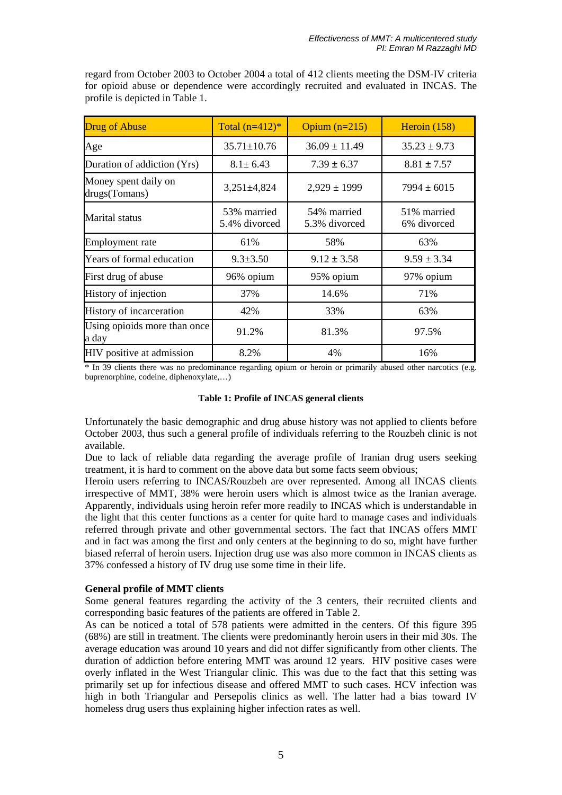| <b>Drug of Abuse</b>                  | Total $(n=412)*$             | Opium $(n=215)$              | Heroin $(158)$             |
|---------------------------------------|------------------------------|------------------------------|----------------------------|
| Age                                   | $35.71 \pm 10.76$            | $36.09 \pm 11.49$            | $35.23 \pm 9.73$           |
| Duration of addiction (Yrs)           | $8.1 \pm 6.43$               | $7.39 \pm 6.37$              | $8.81 \pm 7.57$            |
| Money spent daily on<br>drugs(Tomans) | $3,251 \pm 4,824$            | $2,929 \pm 1999$             | $7994 \pm 6015$            |
| Marital status                        | 53% married<br>5.4% divorced | 54% married<br>5.3% divorced | 51% married<br>6% divorced |
| Employment rate                       | 61%                          | 58%                          | 63%                        |
| Years of formal education             | $9.3 \pm 3.50$               | $9.12 \pm 3.58$              | $9.59 \pm 3.34$            |
| First drug of abuse                   | 96% opium                    | 95% opium                    | 97% opium                  |
| History of injection                  | 37%                          | 14.6%                        | 71%                        |
| History of incarceration              | 42%                          | 33%                          | 63%                        |
| Using opioids more than once<br>a day | 91.2%                        | 81.3%                        | 97.5%                      |
| HIV positive at admission             | 8.2%                         | 4%                           | 16%                        |

regard from October 2003 to October 2004 a total of 412 clients meeting the DSM-IV criteria for opioid abuse or dependence were accordingly recruited and evaluated in INCAS. The profile is depicted in Table 1.

\* In 39 clients there was no predominance regarding opium or heroin or primarily abused other narcotics (e.g. buprenorphine, codeine, diphenoxylate,…)

#### **Table 1: Profile of INCAS general clients**

Unfortunately the basic demographic and drug abuse history was not applied to clients before October 2003, thus such a general profile of individuals referring to the Rouzbeh clinic is not available.

Due to lack of reliable data regarding the average profile of Iranian drug users seeking treatment, it is hard to comment on the above data but some facts seem obvious;

Heroin users referring to INCAS/Rouzbeh are over represented. Among all INCAS clients irrespective of MMT, 38% were heroin users which is almost twice as the Iranian average. Apparently, individuals using heroin refer more readily to INCAS which is understandable in the light that this center functions as a center for quite hard to manage cases and individuals referred through private and other governmental sectors. The fact that INCAS offers MMT and in fact was among the first and only centers at the beginning to do so, might have further biased referral of heroin users. Injection drug use was also more common in INCAS clients as 37% confessed a history of IV drug use some time in their life.

# **General profile of MMT clients**

Some general features regarding the activity of the 3 centers, their recruited clients and corresponding basic features of the patients are offered in Table 2.

As can be noticed a total of 578 patients were admitted in the centers. Of this figure 395 (68%) are still in treatment. The clients were predominantly heroin users in their mid 30s. The average education was around 10 years and did not differ significantly from other clients. The duration of addiction before entering MMT was around 12 years. HIV positive cases were overly inflated in the West Triangular clinic. This was due to the fact that this setting was primarily set up for infectious disease and offered MMT to such cases. HCV infection was high in both Triangular and Persepolis clinics as well. The latter had a bias toward IV homeless drug users thus explaining higher infection rates as well.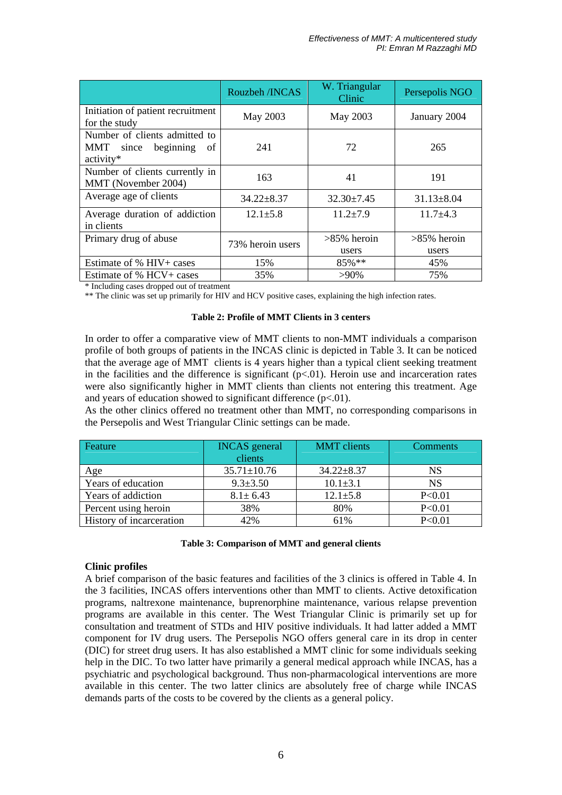|                                                                         | Rouzbeh /INCAS   | W. Triangular<br>Clinic | Persepolis NGO          |
|-------------------------------------------------------------------------|------------------|-------------------------|-------------------------|
| Initiation of patient recruitment<br>for the study                      | May 2003         | May 2003                | January 2004            |
| Number of clients admitted to<br>MMT since beginning<br>of<br>activity* | 241              | 72                      | 265                     |
| Number of clients currently in<br>MMT (November 2004)                   | 163              | 41                      | 191                     |
| Average age of clients                                                  | $34.22 \pm 8.37$ | $32.30 \pm 7.45$        | $31.13 \pm 8.04$        |
| Average duration of addiction<br>in clients                             | $12.1 \pm 5.8$   | $11.2 \pm 7.9$          | $11.7 + 4.3$            |
| Primary drug of abuse                                                   | 73% heroin users | $>85\%$ heroin<br>users | $>85\%$ heroin<br>users |
| Estimate of % HIV+ cases                                                | 15%              | 85%**                   | 45%                     |
| Estimate of % HCV+ cases                                                | 35%              | $>90\%$                 | 75%                     |

\* Including cases dropped out of treatment

\*\* The clinic was set up primarily for HIV and HCV positive cases, explaining the high infection rates.

#### **Table 2: Profile of MMT Clients in 3 centers**

In order to offer a comparative view of MMT clients to non-MMT individuals a comparison profile of both groups of patients in the INCAS clinic is depicted in Table 3. It can be noticed that the average age of MMT clients is 4 years higher than a typical client seeking treatment in the facilities and the difference is significant  $(p<0.01)$ . Heroin use and incarceration rates were also significantly higher in MMT clients than clients not entering this treatment. Age and years of education showed to significant difference  $(p<0.01)$ .

As the other clinics offered no treatment other than MMT, no corresponding comparisons in the Persepolis and West Triangular Clinic settings can be made.

| Feature                  | <b>INCAS</b> general | <b>MMT</b> clients | <b>Comments</b> |
|--------------------------|----------------------|--------------------|-----------------|
|                          | clients              |                    |                 |
| Age                      | $35.71 \pm 10.76$    | $34.22 \pm 8.37$   | NS              |
| Years of education       | $9.3 \pm 3.50$       | $10.1 \pm 3.1$     | <b>NS</b>       |
| Years of addiction       | $8.1 \pm 6.43$       | $12.1 \pm 5.8$     | P<0.01          |
| Percent using heroin     | 38%                  | 80%                | P < 0.01        |
| History of incarceration | 42%                  | 61%                | P < 0.01        |

#### **Table 3: Comparison of MMT and general clients**

#### **Clinic profiles**

A brief comparison of the basic features and facilities of the 3 clinics is offered in Table 4. In the 3 facilities, INCAS offers interventions other than MMT to clients. Active detoxification programs, naltrexone maintenance, buprenorphine maintenance, various relapse prevention programs are available in this center. The West Triangular Clinic is primarily set up for consultation and treatment of STDs and HIV positive individuals. It had latter added a MMT component for IV drug users. The Persepolis NGO offers general care in its drop in center (DIC) for street drug users. It has also established a MMT clinic for some individuals seeking help in the DIC. To two latter have primarily a general medical approach while INCAS, has a psychiatric and psychological background. Thus non-pharmacological interventions are more available in this center. The two latter clinics are absolutely free of charge while INCAS demands parts of the costs to be covered by the clients as a general policy.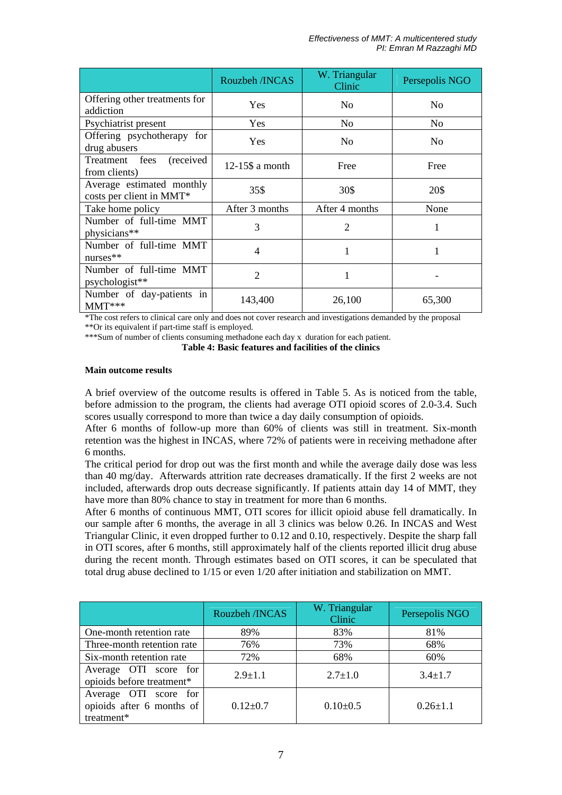|                                                       | Rouzbeh /INCAS  | W. Triangular<br>Clinic     | Persepolis NGO |
|-------------------------------------------------------|-----------------|-----------------------------|----------------|
| Offering other treatments for<br>addiction            | <b>Yes</b>      | N <sub>0</sub>              | No             |
| Psychiatrist present                                  | <b>Yes</b>      | N <sub>0</sub>              | No.            |
| Offering psychotherapy for<br>drug abusers            | Yes             | No                          | N <sub>0</sub> |
| (received)<br>Treatment fees<br>from clients)         | 12-15\$ a month | Free                        | Free           |
| Average estimated monthly<br>costs per client in MMT* | 35\$            | 30\$                        | 20\$           |
| Take home policy                                      | After 3 months  | After 4 months              | None           |
| Number of full-time MMT<br>physicians**               | 3               | $\mathcal{D}_{\mathcal{L}}$ |                |
| Number of full-time MMT<br>nurses**                   | 4               | 1                           | 1              |
| Number of full-time MMT<br>psychologist**             | $\overline{2}$  | 1                           |                |
| Number of day-patients in<br>$MMT***$                 | 143,400         | 26,100                      | 65,300         |

\*The cost refers to clinical care only and does not cover research and investigations demanded by the proposal

\*\*Or its equivalent if part-time staff is employed.

\*\*\*Sum of number of clients consuming methadone each day x duration for each patient.

**Table 4: Basic features and facilities of the clinics** 

#### **Main outcome results**

A brief overview of the outcome results is offered in Table 5. As is noticed from the table, before admission to the program, the clients had average OTI opioid scores of 2.0-3.4. Such scores usually correspond to more than twice a day daily consumption of opioids.

After 6 months of follow-up more than 60% of clients was still in treatment. Six-month retention was the highest in INCAS, where 72% of patients were in receiving methadone after 6 months.

The critical period for drop out was the first month and while the average daily dose was less than 40 mg/day. Afterwards attrition rate decreases dramatically. If the first 2 weeks are not included, afterwards drop outs decrease significantly. If patients attain day 14 of MMT, they have more than 80% chance to stay in treatment for more than 6 months.

After 6 months of continuous MMT, OTI scores for illicit opioid abuse fell dramatically. In our sample after 6 months, the average in all 3 clinics was below 0.26. In INCAS and West Triangular Clinic, it even dropped further to 0.12 and 0.10, respectively. Despite the sharp fall in OTI scores, after 6 months, still approximately half of the clients reported illicit drug abuse during the recent month. Through estimates based on OTI scores, it can be speculated that total drug abuse declined to 1/15 or even 1/20 after initiation and stabilization on MMT.

|                                                                  | Rouzbeh /INCAS | W. Triangular<br>Clinic | Persepolis NGO |
|------------------------------------------------------------------|----------------|-------------------------|----------------|
| One-month retention rate                                         | 89%            | 83%                     | 81%            |
| Three-month retention rate                                       | 76%            | 73%                     | 68%            |
| Six-month retention rate                                         | 72%            | 68%                     | 60%            |
| Average OTI score for<br>opioids before treatment*               | $2.9 \pm 1.1$  | $2.7 \pm 1.0$           | $3.4 \pm 1.7$  |
| Average OTI score for<br>opioids after 6 months of<br>treatment* | $0.12 \pm 0.7$ | $0.10\pm0.5$            | $0.26 \pm 1.1$ |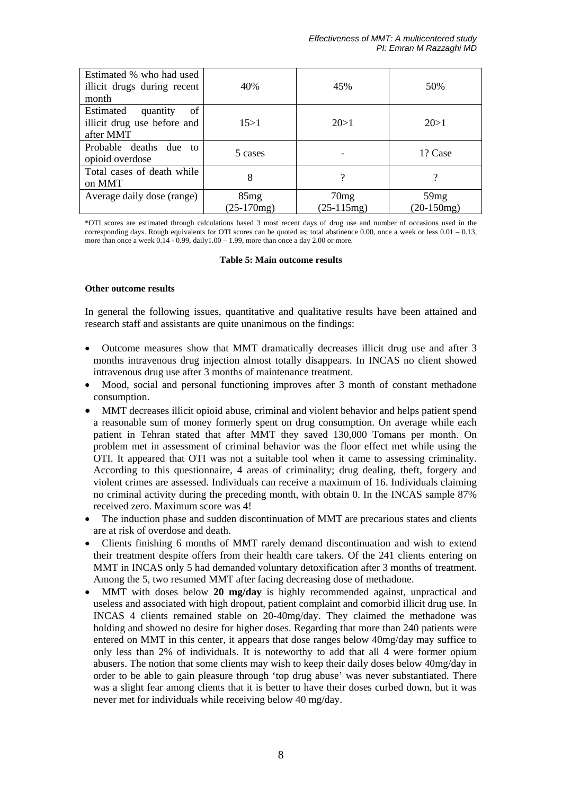| Estimated % who had used<br>illicit drugs during recent<br>month        | 40%                  | 45%                  | 50%                  |
|-------------------------------------------------------------------------|----------------------|----------------------|----------------------|
| Estimated<br>of<br>quantity<br>illicit drug use before and<br>after MMT | 15 > 1               | 20 > 1               | 20 > 1               |
| Probable deaths due to<br>opioid overdose                               | 5 cases              |                      | 1? Case              |
| Total cases of death while<br>on MMT                                    | 8                    | າ                    |                      |
| Average daily dose (range)                                              | 85mg<br>$(25-170mg)$ | 70mg<br>$(25-115mg)$ | 59mg<br>$(20-150mg)$ |

\*OTI scores are estimated through calculations based 3 most recent days of drug use and number of occasions used in the corresponding days. Rough equivalents for OTI scores can be quoted as; total abstinence 0.00, once a week or less 0.01 – 0.13, more than once a week  $0.14 - 0.99$ , daily $1.00 - 1.99$ , more than once a day 2.00 or more.

#### **Table 5: Main outcome results**

## **Other outcome results**

In general the following issues, quantitative and qualitative results have been attained and research staff and assistants are quite unanimous on the findings:

- Outcome measures show that MMT dramatically decreases illicit drug use and after 3 months intravenous drug injection almost totally disappears. In INCAS no client showed intravenous drug use after 3 months of maintenance treatment.
- Mood, social and personal functioning improves after 3 month of constant methadone consumption.
- MMT decreases illicit opioid abuse, criminal and violent behavior and helps patient spend a reasonable sum of money formerly spent on drug consumption. On average while each patient in Tehran stated that after MMT they saved 130,000 Tomans per month. On problem met in assessment of criminal behavior was the floor effect met while using the OTI. It appeared that OTI was not a suitable tool when it came to assessing criminality. According to this questionnaire, 4 areas of criminality; drug dealing, theft, forgery and violent crimes are assessed. Individuals can receive a maximum of 16. Individuals claiming no criminal activity during the preceding month, with obtain 0. In the INCAS sample 87% received zero. Maximum score was 4!
- The induction phase and sudden discontinuation of MMT are precarious states and clients are at risk of overdose and death.
- Clients finishing 6 months of MMT rarely demand discontinuation and wish to extend their treatment despite offers from their health care takers. Of the 241 clients entering on MMT in INCAS only 5 had demanded voluntary detoxification after 3 months of treatment. Among the 5, two resumed MMT after facing decreasing dose of methadone.
- MMT with doses below 20 mg/day is highly recommended against, unpractical and useless and associated with high dropout, patient complaint and comorbid illicit drug use. In INCAS 4 clients remained stable on 20-40mg/day. They claimed the methadone was holding and showed no desire for higher doses. Regarding that more than 240 patients were entered on MMT in this center, it appears that dose ranges below 40mg/day may suffice to only less than 2% of individuals. It is noteworthy to add that all 4 were former opium abusers. The notion that some clients may wish to keep their daily doses below 40mg/day in order to be able to gain pleasure through 'top drug abuse' was never substantiated. There was a slight fear among clients that it is better to have their doses curbed down, but it was never met for individuals while receiving below 40 mg/day.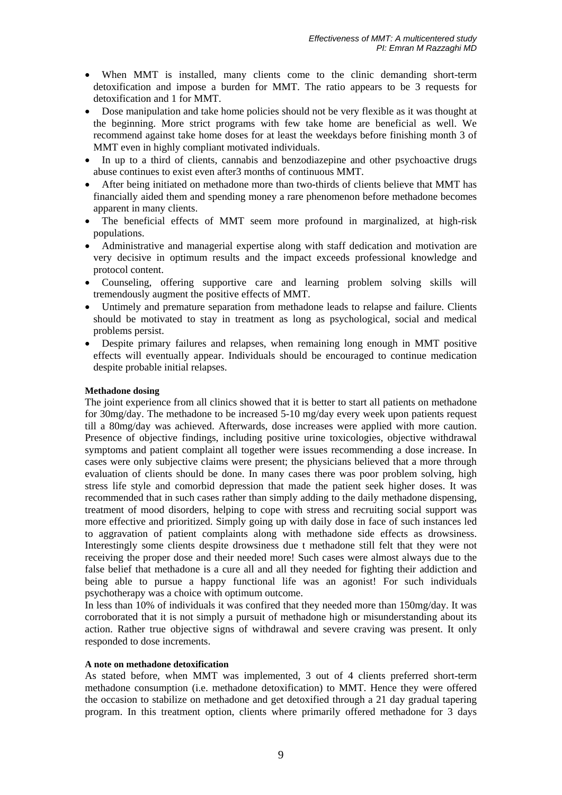- When MMT is installed, many clients come to the clinic demanding short-term detoxification and impose a burden for MMT. The ratio appears to be 3 requests for detoxification and 1 for MMT.
- Dose manipulation and take home policies should not be very flexible as it was thought at the beginning. More strict programs with few take home are beneficial as well. We recommend against take home doses for at least the weekdays before finishing month 3 of MMT even in highly compliant motivated individuals.
- In up to a third of clients, cannabis and benzodiazepine and other psychoactive drugs abuse continues to exist even after3 months of continuous MMT.
- After being initiated on methadone more than two-thirds of clients believe that MMT has financially aided them and spending money a rare phenomenon before methadone becomes apparent in many clients.
- The beneficial effects of MMT seem more profound in marginalized, at high-risk populations.
- Administrative and managerial expertise along with staff dedication and motivation are very decisive in optimum results and the impact exceeds professional knowledge and protocol content.
- Counseling, offering supportive care and learning problem solving skills will tremendously augment the positive effects of MMT.
- Untimely and premature separation from methadone leads to relapse and failure. Clients should be motivated to stay in treatment as long as psychological, social and medical problems persist.
- Despite primary failures and relapses, when remaining long enough in MMT positive effects will eventually appear. Individuals should be encouraged to continue medication despite probable initial relapses.

# **Methadone dosing**

The joint experience from all clinics showed that it is better to start all patients on methadone for 30mg/day. The methadone to be increased 5-10 mg/day every week upon patients request till a 80mg/day was achieved. Afterwards, dose increases were applied with more caution. Presence of objective findings, including positive urine toxicologies, objective withdrawal symptoms and patient complaint all together were issues recommending a dose increase. In cases were only subjective claims were present; the physicians believed that a more through evaluation of clients should be done. In many cases there was poor problem solving, high stress life style and comorbid depression that made the patient seek higher doses. It was recommended that in such cases rather than simply adding to the daily methadone dispensing, treatment of mood disorders, helping to cope with stress and recruiting social support was more effective and prioritized. Simply going up with daily dose in face of such instances led to aggravation of patient complaints along with methadone side effects as drowsiness. Interestingly some clients despite drowsiness due t methadone still felt that they were not receiving the proper dose and their needed more! Such cases were almost always due to the false belief that methadone is a cure all and all they needed for fighting their addiction and being able to pursue a happy functional life was an agonist! For such individuals psychotherapy was a choice with optimum outcome.

In less than 10% of individuals it was confired that they needed more than 150mg/day. It was corroborated that it is not simply a pursuit of methadone high or misunderstanding about its action. Rather true objective signs of withdrawal and severe craving was present. It only responded to dose increments.

#### **A note on methadone detoxification**

As stated before, when MMT was implemented, 3 out of 4 clients preferred short-term methadone consumption (i.e. methadone detoxification) to MMT. Hence they were offered the occasion to stabilize on methadone and get detoxified through a 21 day gradual tapering program. In this treatment option, clients where primarily offered methadone for 3 days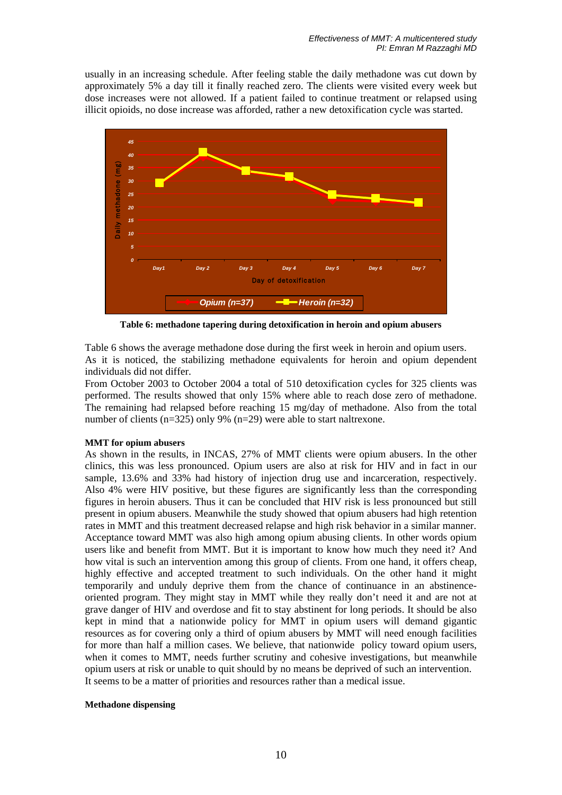usually in an increasing schedule. After feeling stable the daily methadone was cut down by approximately 5% a day till it finally reached zero. The clients were visited every week but dose increases were not allowed. If a patient failed to continue treatment or relapsed using illicit opioids, no dose increase was afforded, rather a new detoxification cycle was started.



**Table 6: methadone tapering during detoxification in heroin and opium abusers** 

Table 6 shows the average methadone dose during the first week in heroin and opium users. As it is noticed, the stabilizing methadone equivalents for heroin and opium dependent individuals did not differ.

From October 2003 to October 2004 a total of 510 detoxification cycles for 325 clients was performed. The results showed that only 15% where able to reach dose zero of methadone. The remaining had relapsed before reaching 15 mg/day of methadone. Also from the total number of clients (n=325) only 9% (n=29) were able to start naltrexone.

# **MMT for opium abusers**

As shown in the results, in INCAS, 27% of MMT clients were opium abusers. In the other clinics, this was less pronounced. Opium users are also at risk for HIV and in fact in our sample, 13.6% and 33% had history of injection drug use and incarceration, respectively. Also 4% were HIV positive, but these figures are significantly less than the corresponding figures in heroin abusers. Thus it can be concluded that HIV risk is less pronounced but still present in opium abusers. Meanwhile the study showed that opium abusers had high retention rates in MMT and this treatment decreased relapse and high risk behavior in a similar manner. Acceptance toward MMT was also high among opium abusing clients. In other words opium users like and benefit from MMT. But it is important to know how much they need it? And how vital is such an intervention among this group of clients. From one hand, it offers cheap, highly effective and accepted treatment to such individuals. On the other hand it might temporarily and unduly deprive them from the chance of continuance in an abstinenceoriented program. They might stay in MMT while they really don't need it and are not at grave danger of HIV and overdose and fit to stay abstinent for long periods. It should be also kept in mind that a nationwide policy for MMT in opium users will demand gigantic resources as for covering only a third of opium abusers by MMT will need enough facilities for more than half a million cases. We believe, that nationwide policy toward opium users, when it comes to MMT, needs further scrutiny and cohesive investigations, but meanwhile opium users at risk or unable to quit should by no means be deprived of such an intervention. It seems to be a matter of priorities and resources rather than a medical issue.

# **Methadone dispensing**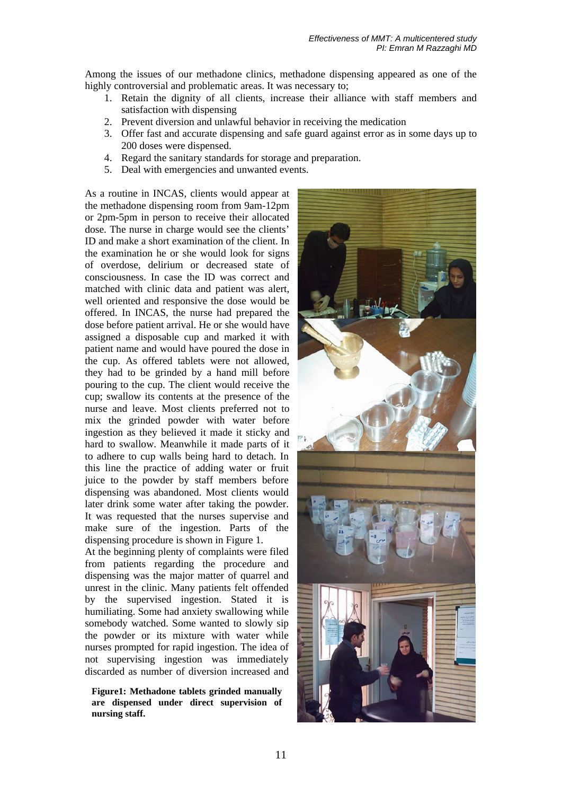Among the issues of our methadone clinics, methadone dispensing appeared as one of the highly controversial and problematic areas. It was necessary to;

- 1. Retain the dignity of all clients, increase their alliance with staff members and satisfaction with dispensing
- 2. Prevent diversion and unlawful behavior in receiving the medication
- 3. Offer fast and accurate dispensing and safe guard against error as in some days up to 200 doses were dispensed.
- 4. Regard the sanitary standards for storage and preparation.
- 5. Deal with emergencies and unwanted events.

As a routine in INCAS, clients would appear at the methadone dispensing room from 9am-12pm or 2pm-5pm in person to receive their allocated dose. The nurse in charge would see the clients' ID and make a short examination of the client. In the examination he or she would look for signs of overdose, delirium or decreased state of consciousness. In case the ID was correct and matched with clinic data and patient was alert, well oriented and responsive the dose would be offered. In INCAS, the nurse had prepared the dose before patient arrival. He or she would have assigned a disposable cup and marked it with patient name and would have poured the dose in the cup. As offered tablets were not allowed, they had to be grinded by a hand mill before pouring to the cup. The client would receive the cup; swallow its contents at the presence of the nurse and leave. Most clients preferred not to mix the grinded powder with water before ingestion as they believed it made it sticky and hard to swallow. Meanwhile it made parts of it to adhere to cup walls being hard to detach. In this line the practice of adding water or fruit juice to the powder by staff members before dispensing was abandoned. Most clients would later drink some water after taking the powder. It was requested that the nurses supervise and make sure of the ingestion. Parts of the dispensing procedure is shown in Figure 1.

At the beginning plenty of complaints were filed from patients regarding the procedure and dispensing was the major matter of quarrel and unrest in the clinic. Many patients felt offended by the supervised ingestion. Stated it is humiliating. Some had anxiety swallowing while somebody watched. Some wanted to slowly sip the powder or its mixture with water while nurses prompted for rapid ingestion. The idea of not supervising ingestion was immediately discarded as number of diversion increased and

**Figure1: Methadone tablets grinded manually are dispensed under direct supervision of nursing staff.** 

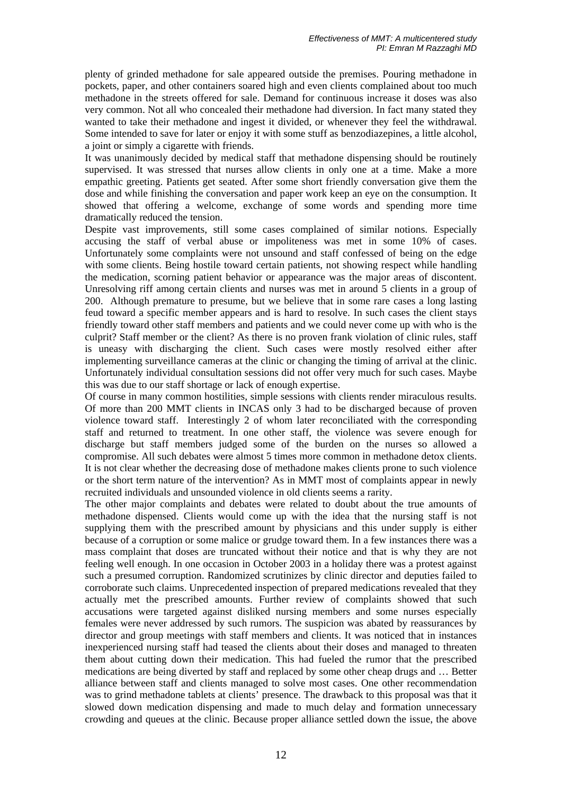plenty of grinded methadone for sale appeared outside the premises. Pouring methadone in pockets, paper, and other containers soared high and even clients complained about too much methadone in the streets offered for sale. Demand for continuous increase it doses was also very common. Not all who concealed their methadone had diversion. In fact many stated they wanted to take their methadone and ingest it divided, or whenever they feel the withdrawal. Some intended to save for later or enjoy it with some stuff as benzodiazepines, a little alcohol, a joint or simply a cigarette with friends.

It was unanimously decided by medical staff that methadone dispensing should be routinely supervised. It was stressed that nurses allow clients in only one at a time. Make a more empathic greeting. Patients get seated. After some short friendly conversation give them the dose and while finishing the conversation and paper work keep an eye on the consumption. It showed that offering a welcome, exchange of some words and spending more time dramatically reduced the tension.

Despite vast improvements, still some cases complained of similar notions. Especially accusing the staff of verbal abuse or impoliteness was met in some 10% of cases. Unfortunately some complaints were not unsound and staff confessed of being on the edge with some clients. Being hostile toward certain patients, not showing respect while handling the medication, scorning patient behavior or appearance was the major areas of discontent. Unresolving riff among certain clients and nurses was met in around 5 clients in a group of 200. Although premature to presume, but we believe that in some rare cases a long lasting feud toward a specific member appears and is hard to resolve. In such cases the client stays friendly toward other staff members and patients and we could never come up with who is the culprit? Staff member or the client? As there is no proven frank violation of clinic rules, staff is uneasy with discharging the client. Such cases were mostly resolved either after implementing surveillance cameras at the clinic or changing the timing of arrival at the clinic. Unfortunately individual consultation sessions did not offer very much for such cases. Maybe this was due to our staff shortage or lack of enough expertise.

Of course in many common hostilities, simple sessions with clients render miraculous results. Of more than 200 MMT clients in INCAS only 3 had to be discharged because of proven violence toward staff. Interestingly 2 of whom later reconciliated with the corresponding staff and returned to treatment. In one other staff, the violence was severe enough for discharge but staff members judged some of the burden on the nurses so allowed a compromise. All such debates were almost 5 times more common in methadone detox clients. It is not clear whether the decreasing dose of methadone makes clients prone to such violence or the short term nature of the intervention? As in MMT most of complaints appear in newly recruited individuals and unsounded violence in old clients seems a rarity.

The other major complaints and debates were related to doubt about the true amounts of methadone dispensed. Clients would come up with the idea that the nursing staff is not supplying them with the prescribed amount by physicians and this under supply is either because of a corruption or some malice or grudge toward them. In a few instances there was a mass complaint that doses are truncated without their notice and that is why they are not feeling well enough. In one occasion in October 2003 in a holiday there was a protest against such a presumed corruption. Randomized scrutinizes by clinic director and deputies failed to corroborate such claims. Unprecedented inspection of prepared medications revealed that they actually met the prescribed amounts. Further review of complaints showed that such accusations were targeted against disliked nursing members and some nurses especially females were never addressed by such rumors. The suspicion was abated by reassurances by director and group meetings with staff members and clients. It was noticed that in instances inexperienced nursing staff had teased the clients about their doses and managed to threaten them about cutting down their medication. This had fueled the rumor that the prescribed medications are being diverted by staff and replaced by some other cheap drugs and … Better alliance between staff and clients managed to solve most cases. One other recommendation was to grind methadone tablets at clients' presence. The drawback to this proposal was that it slowed down medication dispensing and made to much delay and formation unnecessary crowding and queues at the clinic. Because proper alliance settled down the issue, the above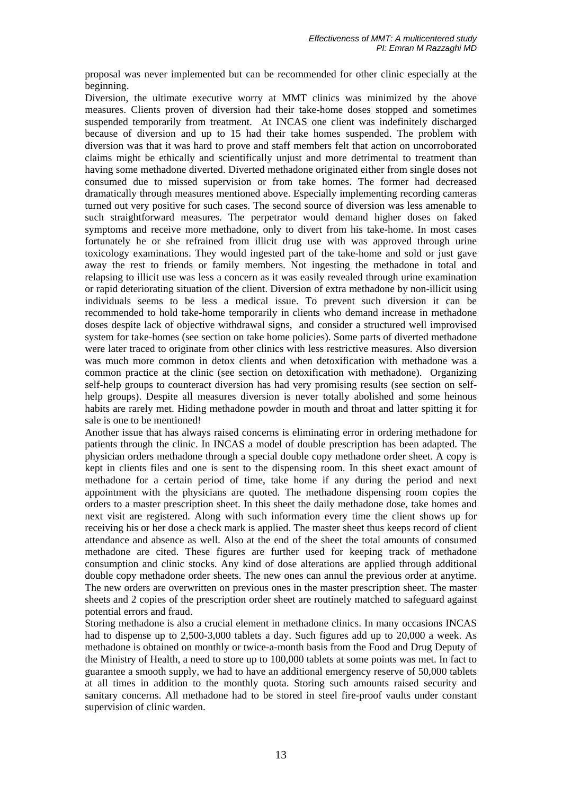proposal was never implemented but can be recommended for other clinic especially at the beginning.

Diversion, the ultimate executive worry at MMT clinics was minimized by the above measures. Clients proven of diversion had their take-home doses stopped and sometimes suspended temporarily from treatment. At INCAS one client was indefinitely discharged because of diversion and up to 15 had their take homes suspended. The problem with diversion was that it was hard to prove and staff members felt that action on uncorroborated claims might be ethically and scientifically unjust and more detrimental to treatment than having some methadone diverted. Diverted methadone originated either from single doses not consumed due to missed supervision or from take homes. The former had decreased dramatically through measures mentioned above. Especially implementing recording cameras turned out very positive for such cases. The second source of diversion was less amenable to such straightforward measures. The perpetrator would demand higher doses on faked symptoms and receive more methadone, only to divert from his take-home. In most cases fortunately he or she refrained from illicit drug use with was approved through urine toxicology examinations. They would ingested part of the take-home and sold or just gave away the rest to friends or family members. Not ingesting the methadone in total and relapsing to illicit use was less a concern as it was easily revealed through urine examination or rapid deteriorating situation of the client. Diversion of extra methadone by non-illicit using individuals seems to be less a medical issue. To prevent such diversion it can be recommended to hold take-home temporarily in clients who demand increase in methadone doses despite lack of objective withdrawal signs, and consider a structured well improvised system for take-homes (see section on take home policies). Some parts of diverted methadone were later traced to originate from other clinics with less restrictive measures. Also diversion was much more common in detox clients and when detoxification with methadone was a common practice at the clinic (see section on detoxification with methadone). Organizing self-help groups to counteract diversion has had very promising results (see section on selfhelp groups). Despite all measures diversion is never totally abolished and some heinous habits are rarely met. Hiding methadone powder in mouth and throat and latter spitting it for sale is one to be mentioned!

Another issue that has always raised concerns is eliminating error in ordering methadone for patients through the clinic. In INCAS a model of double prescription has been adapted. The physician orders methadone through a special double copy methadone order sheet. A copy is kept in clients files and one is sent to the dispensing room. In this sheet exact amount of methadone for a certain period of time, take home if any during the period and next appointment with the physicians are quoted. The methadone dispensing room copies the orders to a master prescription sheet. In this sheet the daily methadone dose, take homes and next visit are registered. Along with such information every time the client shows up for receiving his or her dose a check mark is applied. The master sheet thus keeps record of client attendance and absence as well. Also at the end of the sheet the total amounts of consumed methadone are cited. These figures are further used for keeping track of methadone consumption and clinic stocks. Any kind of dose alterations are applied through additional double copy methadone order sheets. The new ones can annul the previous order at anytime. The new orders are overwritten on previous ones in the master prescription sheet. The master sheets and 2 copies of the prescription order sheet are routinely matched to safeguard against potential errors and fraud.

Storing methadone is also a crucial element in methadone clinics. In many occasions INCAS had to dispense up to 2,500-3,000 tablets a day. Such figures add up to 20,000 a week. As methadone is obtained on monthly or twice-a-month basis from the Food and Drug Deputy of the Ministry of Health, a need to store up to 100,000 tablets at some points was met. In fact to guarantee a smooth supply, we had to have an additional emergency reserve of 50,000 tablets at all times in addition to the monthly quota. Storing such amounts raised security and sanitary concerns. All methadone had to be stored in steel fire-proof vaults under constant supervision of clinic warden.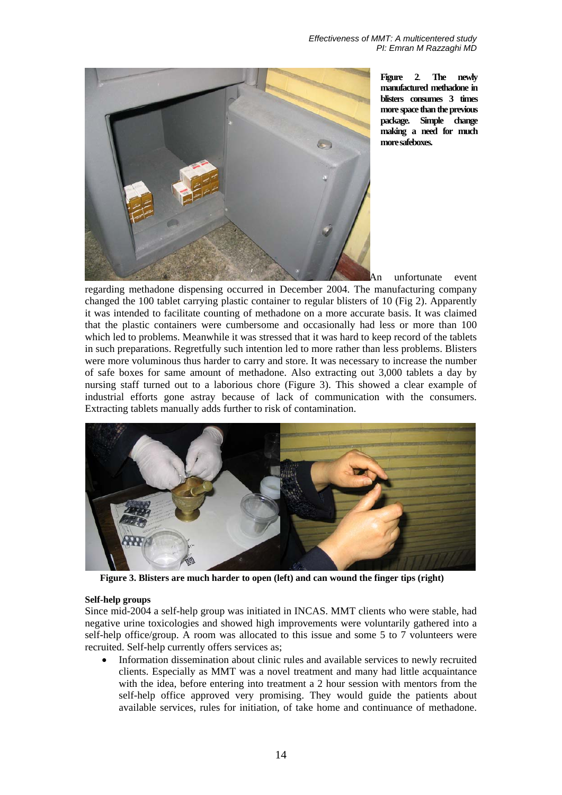

**Figure 2**. **The newly manufactured methadone in blisters consumes 3 times more space than the previous package. Simple change making a need for much more safeboxes.** 

An unfortunate event

regarding methadone dispensing occurred in December 2004. The manufacturing company changed the 100 tablet carrying plastic container to regular blisters of 10 (Fig 2). Apparently it was intended to facilitate counting of methadone on a more accurate basis. It was claimed that the plastic containers were cumbersome and occasionally had less or more than 100 which led to problems. Meanwhile it was stressed that it was hard to keep record of the tablets in such preparations. Regretfully such intention led to more rather than less problems. Blisters were more voluminous thus harder to carry and store. It was necessary to increase the number of safe boxes for same amount of methadone. Also extracting out 3,000 tablets a day by nursing staff turned out to a laborious chore (Figure 3). This showed a clear example of industrial efforts gone astray because of lack of communication with the consumers. Extracting tablets manually adds further to risk of contamination.



**Figure 3. Blisters are much harder to open (left) and can wound the finger tips (right)** 

# **Self-help groups**

Since mid-2004 a self-help group was initiated in INCAS. MMT clients who were stable, had negative urine toxicologies and showed high improvements were voluntarily gathered into a self-help office/group. A room was allocated to this issue and some 5 to 7 volunteers were recruited. Self-help currently offers services as;

• Information dissemination about clinic rules and available services to newly recruited clients. Especially as MMT was a novel treatment and many had little acquaintance with the idea, before entering into treatment a 2 hour session with mentors from the self-help office approved very promising. They would guide the patients about available services, rules for initiation, of take home and continuance of methadone.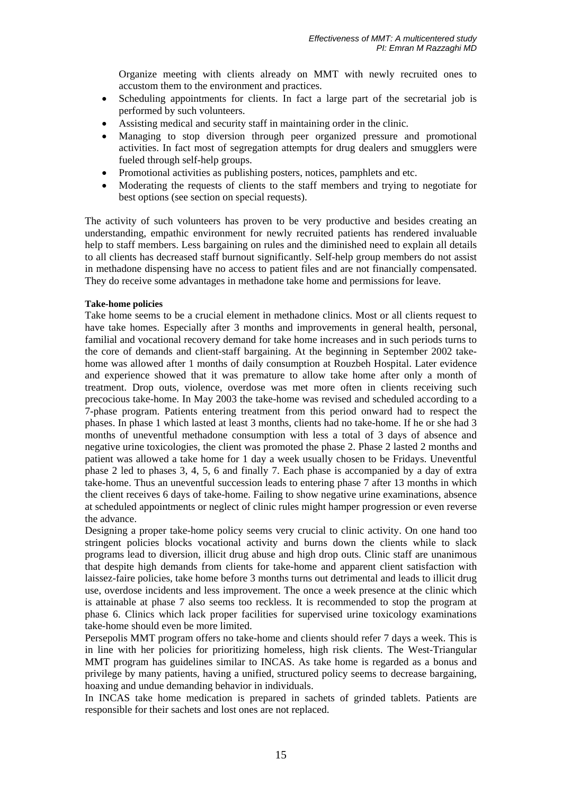Organize meeting with clients already on MMT with newly recruited ones to accustom them to the environment and practices.

- Scheduling appointments for clients. In fact a large part of the secretarial job is performed by such volunteers.
- Assisting medical and security staff in maintaining order in the clinic.
- Managing to stop diversion through peer organized pressure and promotional activities. In fact most of segregation attempts for drug dealers and smugglers were fueled through self-help groups.
- Promotional activities as publishing posters, notices, pamphlets and etc.
- Moderating the requests of clients to the staff members and trying to negotiate for best options (see section on special requests).

The activity of such volunteers has proven to be very productive and besides creating an understanding, empathic environment for newly recruited patients has rendered invaluable help to staff members. Less bargaining on rules and the diminished need to explain all details to all clients has decreased staff burnout significantly. Self-help group members do not assist in methadone dispensing have no access to patient files and are not financially compensated. They do receive some advantages in methadone take home and permissions for leave.

## **Take-home policies**

Take home seems to be a crucial element in methadone clinics. Most or all clients request to have take homes. Especially after 3 months and improvements in general health, personal, familial and vocational recovery demand for take home increases and in such periods turns to the core of demands and client-staff bargaining. At the beginning in September 2002 takehome was allowed after 1 months of daily consumption at Rouzbeh Hospital. Later evidence and experience showed that it was premature to allow take home after only a month of treatment. Drop outs, violence, overdose was met more often in clients receiving such precocious take-home. In May 2003 the take-home was revised and scheduled according to a 7-phase program. Patients entering treatment from this period onward had to respect the phases. In phase 1 which lasted at least 3 months, clients had no take-home. If he or she had 3 months of uneventful methadone consumption with less a total of 3 days of absence and negative urine toxicologies, the client was promoted the phase 2. Phase 2 lasted 2 months and patient was allowed a take home for 1 day a week usually chosen to be Fridays. Uneventful phase 2 led to phases 3, 4, 5, 6 and finally 7. Each phase is accompanied by a day of extra take-home. Thus an uneventful succession leads to entering phase 7 after 13 months in which the client receives 6 days of take-home. Failing to show negative urine examinations, absence at scheduled appointments or neglect of clinic rules might hamper progression or even reverse the advance.

Designing a proper take-home policy seems very crucial to clinic activity. On one hand too stringent policies blocks vocational activity and burns down the clients while to slack programs lead to diversion, illicit drug abuse and high drop outs. Clinic staff are unanimous that despite high demands from clients for take-home and apparent client satisfaction with laissez-faire policies, take home before 3 months turns out detrimental and leads to illicit drug use, overdose incidents and less improvement. The once a week presence at the clinic which is attainable at phase 7 also seems too reckless. It is recommended to stop the program at phase 6. Clinics which lack proper facilities for supervised urine toxicology examinations take-home should even be more limited.

Persepolis MMT program offers no take-home and clients should refer 7 days a week. This is in line with her policies for prioritizing homeless, high risk clients. The West-Triangular MMT program has guidelines similar to INCAS. As take home is regarded as a bonus and privilege by many patients, having a unified, structured policy seems to decrease bargaining, hoaxing and undue demanding behavior in individuals.

In INCAS take home medication is prepared in sachets of grinded tablets. Patients are responsible for their sachets and lost ones are not replaced.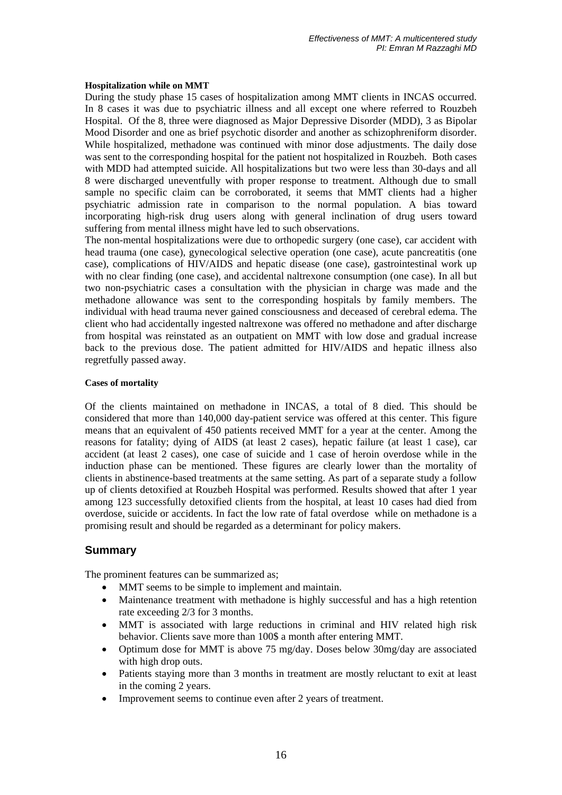# **Hospitalization while on MMT**

During the study phase 15 cases of hospitalization among MMT clients in INCAS occurred. In 8 cases it was due to psychiatric illness and all except one where referred to Rouzbeh Hospital. Of the 8, three were diagnosed as Major Depressive Disorder (MDD), 3 as Bipolar Mood Disorder and one as brief psychotic disorder and another as schizophreniform disorder. While hospitalized, methadone was continued with minor dose adjustments. The daily dose was sent to the corresponding hospital for the patient not hospitalized in Rouzbeh. Both cases with MDD had attempted suicide. All hospitalizations but two were less than 30-days and all 8 were discharged uneventfully with proper response to treatment. Although due to small sample no specific claim can be corroborated, it seems that MMT clients had a higher psychiatric admission rate in comparison to the normal population. A bias toward incorporating high-risk drug users along with general inclination of drug users toward suffering from mental illness might have led to such observations.

The non-mental hospitalizations were due to orthopedic surgery (one case), car accident with head trauma (one case), gynecological selective operation (one case), acute pancreatitis (one case), complications of HIV/AIDS and hepatic disease (one case), gastrointestinal work up with no clear finding (one case), and accidental naltrexone consumption (one case). In all but two non-psychiatric cases a consultation with the physician in charge was made and the methadone allowance was sent to the corresponding hospitals by family members. The individual with head trauma never gained consciousness and deceased of cerebral edema. The client who had accidentally ingested naltrexone was offered no methadone and after discharge from hospital was reinstated as an outpatient on MMT with low dose and gradual increase back to the previous dose. The patient admitted for HIV/AIDS and hepatic illness also regretfully passed away.

## **Cases of mortality**

Of the clients maintained on methadone in INCAS, a total of 8 died. This should be considered that more than 140,000 day-patient service was offered at this center. This figure means that an equivalent of 450 patients received MMT for a year at the center. Among the reasons for fatality; dying of AIDS (at least 2 cases), hepatic failure (at least 1 case), car accident (at least 2 cases), one case of suicide and 1 case of heroin overdose while in the induction phase can be mentioned. These figures are clearly lower than the mortality of clients in abstinence-based treatments at the same setting. As part of a separate study a follow up of clients detoxified at Rouzbeh Hospital was performed. Results showed that after 1 year among 123 successfully detoxified clients from the hospital, at least 10 cases had died from overdose, suicide or accidents. In fact the low rate of fatal overdose while on methadone is a promising result and should be regarded as a determinant for policy makers.

# **Summary**

The prominent features can be summarized as;

- MMT seems to be simple to implement and maintain.
- Maintenance treatment with methadone is highly successful and has a high retention rate exceeding 2/3 for 3 months.
- MMT is associated with large reductions in criminal and HIV related high risk behavior. Clients save more than 100\$ a month after entering MMT.
- Optimum dose for MMT is above 75 mg/day. Doses below 30mg/day are associated with high drop outs.
- Patients staying more than 3 months in treatment are mostly reluctant to exit at least in the coming 2 years.
- Improvement seems to continue even after 2 years of treatment.